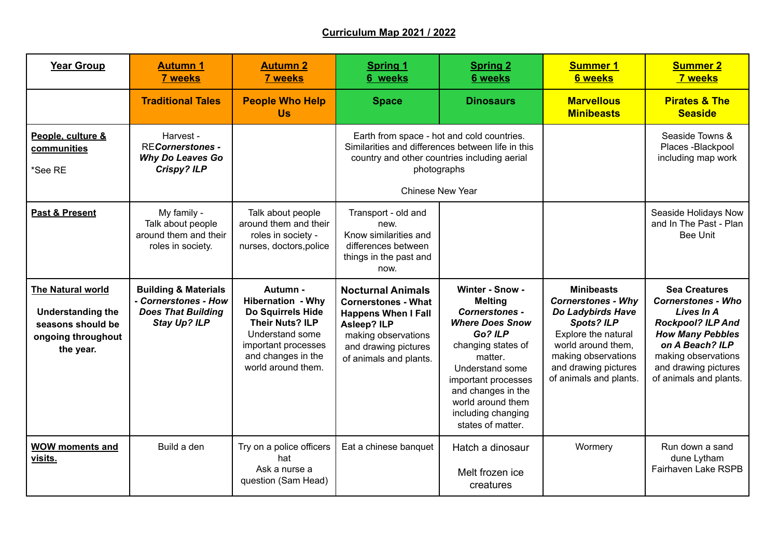## **Curriculum Map 2021 / 2022**

| <b>Year Group</b>                                                                                            | <b>Autumn 1</b><br><b>7 weeks</b>                                                                           | <b>Autumn 2</b><br><b>7 weeks</b>                                                                                                                                         | <b>Spring 1</b><br>6 weeks                                                                                                                                                   | <b>Spring 2</b><br><b>6 weeks</b>                                                                                                                                                                                                                                | <b>Summer 1</b><br><b>6 weeks</b>                                                                                                                                                                              | <b>Summer 2</b><br><b>7 weeks</b>                                                                                                                                                                                  |
|--------------------------------------------------------------------------------------------------------------|-------------------------------------------------------------------------------------------------------------|---------------------------------------------------------------------------------------------------------------------------------------------------------------------------|------------------------------------------------------------------------------------------------------------------------------------------------------------------------------|------------------------------------------------------------------------------------------------------------------------------------------------------------------------------------------------------------------------------------------------------------------|----------------------------------------------------------------------------------------------------------------------------------------------------------------------------------------------------------------|--------------------------------------------------------------------------------------------------------------------------------------------------------------------------------------------------------------------|
|                                                                                                              | <b>Traditional Tales</b>                                                                                    | <b>People Who Help</b><br><b>Us</b>                                                                                                                                       | <b>Space</b>                                                                                                                                                                 | <b>Dinosaurs</b>                                                                                                                                                                                                                                                 | <b>Marvellous</b><br><b>Minibeasts</b>                                                                                                                                                                         | <b>Pirates &amp; The</b><br><b>Seaside</b>                                                                                                                                                                         |
| People, culture &<br>communities<br>*See RE                                                                  | Harvest -<br><b>RECornerstones -</b><br>Why Do Leaves Go<br><b>Crispy? ILP</b>                              |                                                                                                                                                                           | Earth from space - hot and cold countries.<br>country and other countries including aerial<br>photographs<br><b>Chinese New Year</b>                                         | Similarities and differences between life in this                                                                                                                                                                                                                |                                                                                                                                                                                                                | Seaside Towns &<br>Places - Blackpool<br>including map work                                                                                                                                                        |
| <b>Past &amp; Present</b>                                                                                    | My family -<br>Talk about people<br>around them and their<br>roles in society.                              | Talk about people<br>around them and their<br>roles in society -<br>nurses, doctors, police                                                                               | Transport - old and<br>new.<br>Know similarities and<br>differences between<br>things in the past and<br>now.                                                                |                                                                                                                                                                                                                                                                  |                                                                                                                                                                                                                | Seaside Holidays Now<br>and In The Past - Plan<br><b>Bee Unit</b>                                                                                                                                                  |
| <b>The Natural world</b><br><b>Understanding the</b><br>seasons should be<br>ongoing throughout<br>the year. | <b>Building &amp; Materials</b><br>- Cornerstones - How<br><b>Does That Building</b><br><b>Stay Up? ILP</b> | Autumn -<br><b>Hibernation - Why</b><br>Do Squirrels Hide<br><b>Their Nuts? ILP</b><br>Understand some<br>important processes<br>and changes in the<br>world around them. | <b>Nocturnal Animals</b><br><b>Cornerstones - What</b><br><b>Happens When I Fall</b><br>Asleep? ILP<br>making observations<br>and drawing pictures<br>of animals and plants. | Winter - Snow -<br><b>Melting</b><br><b>Cornerstones -</b><br><b>Where Does Snow</b><br>Go? ILP<br>changing states of<br>matter.<br>Understand some<br>important processes<br>and changes in the<br>world around them<br>including changing<br>states of matter. | <b>Minibeasts</b><br><b>Cornerstones - Why</b><br>Do Ladybirds Have<br><b>Spots? ILP</b><br>Explore the natural<br>world around them,<br>making observations<br>and drawing pictures<br>of animals and plants. | <b>Sea Creatures</b><br><b>Cornerstones - Who</b><br>Lives In A<br><b>Rockpool? ILP And</b><br><b>How Many Pebbles</b><br>on A Beach? ILP<br>making observations<br>and drawing pictures<br>of animals and plants. |
| <b>WOW moments and</b><br>visits.                                                                            | Build a den                                                                                                 | Try on a police officers<br>hat<br>Ask a nurse a<br>question (Sam Head)                                                                                                   | Eat a chinese banquet                                                                                                                                                        | Hatch a dinosaur<br>Melt frozen ice<br>creatures                                                                                                                                                                                                                 | Wormery                                                                                                                                                                                                        | Run down a sand<br>dune Lytham<br>Fairhaven Lake RSPB                                                                                                                                                              |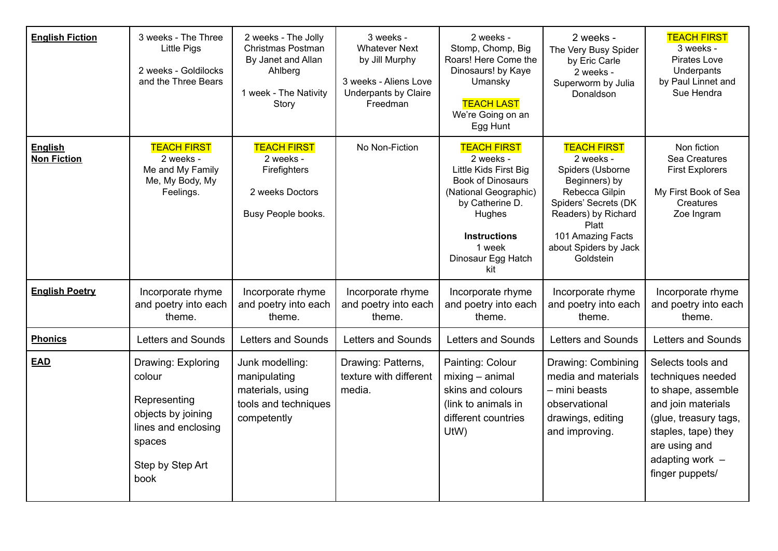| <b>English Fiction</b>               | 3 weeks - The Three<br><b>Little Pigs</b><br>2 weeks - Goldilocks<br>and the Three Bears                                        | 2 weeks - The Jolly<br>Christmas Postman<br>By Janet and Allan<br>Ahlberg<br>1 week - The Nativity<br>Story | 3 weeks -<br><b>Whatever Next</b><br>by Jill Murphy<br>3 weeks - Aliens Love<br><b>Underpants by Claire</b><br>Freedman | 2 weeks -<br>Stomp, Chomp, Big<br>Roars! Here Come the<br>Dinosaurs! by Kaye<br>Umansky<br><b>TEACH LAST</b><br>We're Going on an<br>Egg Hunt                                                            | 2 weeks -<br>The Very Busy Spider<br>by Eric Carle<br>2 weeks -<br>Superworm by Julia<br>Donaldson                                                                                                        | <b>TEACH FIRST</b><br>3 weeks -<br>Pirates Love<br>Underpants<br>by Paul Linnet and<br>Sue Hendra                                                                                         |
|--------------------------------------|---------------------------------------------------------------------------------------------------------------------------------|-------------------------------------------------------------------------------------------------------------|-------------------------------------------------------------------------------------------------------------------------|----------------------------------------------------------------------------------------------------------------------------------------------------------------------------------------------------------|-----------------------------------------------------------------------------------------------------------------------------------------------------------------------------------------------------------|-------------------------------------------------------------------------------------------------------------------------------------------------------------------------------------------|
| <b>English</b><br><b>Non Fiction</b> | <b>TEACH FIRST</b><br>2 weeks -<br>Me and My Family<br>Me, My Body, My<br>Feelings.                                             | <b>TEACH FIRST</b><br>2 weeks -<br>Firefighters<br>2 weeks Doctors<br>Busy People books.                    | No Non-Fiction                                                                                                          | <b>TEACH FIRST</b><br>2 weeks -<br>Little Kids First Big<br><b>Book of Dinosaurs</b><br>(National Geographic)<br>by Catherine D.<br>Hughes<br><b>Instructions</b><br>1 week<br>Dinosaur Egg Hatch<br>kit | <b>TEACH FIRST</b><br>2 weeks -<br>Spiders (Usborne<br>Beginners) by<br>Rebecca Gilpin<br>Spiders' Secrets (DK<br>Readers) by Richard<br>Platt<br>101 Amazing Facts<br>about Spiders by Jack<br>Goldstein | Non fiction<br>Sea Creatures<br><b>First Explorers</b><br>My First Book of Sea<br><b>Creatures</b><br>Zoe Ingram                                                                          |
| <b>English Poetry</b>                | Incorporate rhyme<br>and poetry into each<br>theme.                                                                             | Incorporate rhyme<br>and poetry into each<br>theme.                                                         | Incorporate rhyme<br>and poetry into each<br>theme.                                                                     | Incorporate rhyme<br>and poetry into each<br>theme.                                                                                                                                                      | Incorporate rhyme<br>and poetry into each<br>theme.                                                                                                                                                       | Incorporate rhyme<br>and poetry into each<br>theme.                                                                                                                                       |
| <b>Phonics</b>                       | Letters and Sounds                                                                                                              | Letters and Sounds                                                                                          | Letters and Sounds                                                                                                      | Letters and Sounds                                                                                                                                                                                       | Letters and Sounds                                                                                                                                                                                        | Letters and Sounds                                                                                                                                                                        |
| <b>EAD</b>                           | Drawing: Exploring<br>colour<br>Representing<br>objects by joining<br>lines and enclosing<br>spaces<br>Step by Step Art<br>book | Junk modelling:<br>manipulating<br>materials, using<br>tools and techniques<br>competently                  | Drawing: Patterns,<br>texture with different<br>media.                                                                  | Painting: Colour<br>$mixing - animal$<br>skins and colours<br>(link to animals in<br>different countries<br>UtW)                                                                                         | Drawing: Combining<br>media and materials<br>- mini beasts<br>observational<br>drawings, editing<br>and improving.                                                                                        | Selects tools and<br>techniques needed<br>to shape, assemble<br>and join materials<br>(glue, treasury tags,<br>staples, tape) they<br>are using and<br>adapting work -<br>finger puppets/ |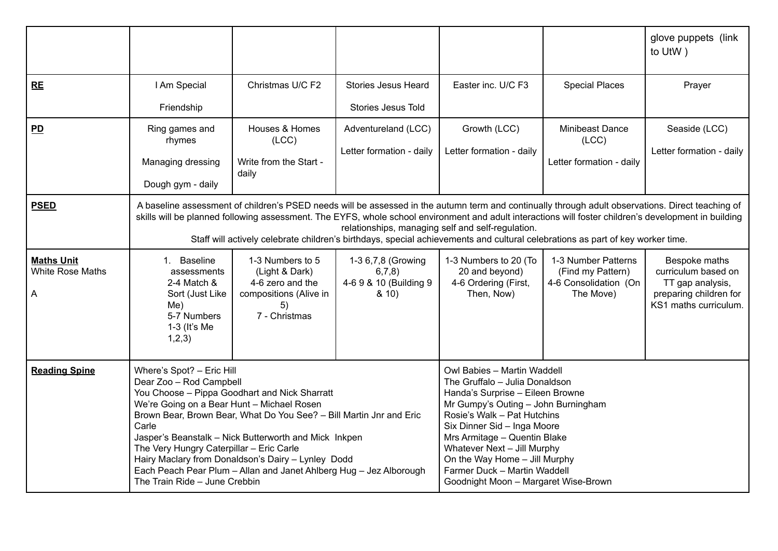|                                                   |                                                                                                                                                                                                                                                                                                                                                                                                                                                                                                       |                                                                                                         |                                                               |                                                                                                                                                                                                                                                                                                                                                                                |                                                                                | glove puppets (link<br>to UtW)                                                                              |
|---------------------------------------------------|-------------------------------------------------------------------------------------------------------------------------------------------------------------------------------------------------------------------------------------------------------------------------------------------------------------------------------------------------------------------------------------------------------------------------------------------------------------------------------------------------------|---------------------------------------------------------------------------------------------------------|---------------------------------------------------------------|--------------------------------------------------------------------------------------------------------------------------------------------------------------------------------------------------------------------------------------------------------------------------------------------------------------------------------------------------------------------------------|--------------------------------------------------------------------------------|-------------------------------------------------------------------------------------------------------------|
| <b>RE</b>                                         | I Am Special                                                                                                                                                                                                                                                                                                                                                                                                                                                                                          | Christmas U/C F2                                                                                        | <b>Stories Jesus Heard</b>                                    | Easter inc. U/C F3                                                                                                                                                                                                                                                                                                                                                             | <b>Special Places</b>                                                          | Prayer                                                                                                      |
|                                                   | Friendship                                                                                                                                                                                                                                                                                                                                                                                                                                                                                            |                                                                                                         | <b>Stories Jesus Told</b>                                     |                                                                                                                                                                                                                                                                                                                                                                                |                                                                                |                                                                                                             |
| $\overline{PD}$                                   | Ring games and<br>rhymes                                                                                                                                                                                                                                                                                                                                                                                                                                                                              | Houses & Homes<br>(ICC)                                                                                 | Adventureland (LCC)<br>Letter formation - daily               | Growth (LCC)<br>Letter formation - daily                                                                                                                                                                                                                                                                                                                                       | Minibeast Dance<br>(ICC)                                                       | Seaside (LCC)<br>Letter formation - daily                                                                   |
|                                                   | Managing dressing                                                                                                                                                                                                                                                                                                                                                                                                                                                                                     | Write from the Start -<br>daily                                                                         |                                                               |                                                                                                                                                                                                                                                                                                                                                                                | Letter formation - daily                                                       |                                                                                                             |
|                                                   | Dough gym - daily                                                                                                                                                                                                                                                                                                                                                                                                                                                                                     |                                                                                                         |                                                               |                                                                                                                                                                                                                                                                                                                                                                                |                                                                                |                                                                                                             |
| <b>PSED</b>                                       | A baseline assessment of children's PSED needs will be assessed in the autumn term and continually through adult observations. Direct teaching of<br>skills will be planned following assessment. The EYFS, whole school environment and adult interactions will foster children's development in building<br>relationships, managing self and self-regulation.<br>Staff will actively celebrate children's birthdays, special achievements and cultural celebrations as part of key worker time.     |                                                                                                         |                                                               |                                                                                                                                                                                                                                                                                                                                                                                |                                                                                |                                                                                                             |
| <b>Maths Unit</b><br><b>White Rose Maths</b><br>A | 1. Baseline<br>assessments<br>2-4 Match &<br>Sort (Just Like<br>Me)<br>5-7 Numbers<br>$1-3$ (It's Me<br>1,2,3)                                                                                                                                                                                                                                                                                                                                                                                        | 1-3 Numbers to 5<br>(Light & Dark)<br>4-6 zero and the<br>compositions (Alive in<br>5)<br>7 - Christmas | 1-3 6,7,8 (Growing<br>6,7,8<br>4-6 9 & 10 (Building 9<br>8.10 | 1-3 Numbers to 20 (To<br>20 and beyond)<br>4-6 Ordering (First,<br>Then, Now)                                                                                                                                                                                                                                                                                                  | 1-3 Number Patterns<br>(Find my Pattern)<br>4-6 Consolidation (On<br>The Move) | Bespoke maths<br>curriculum based on<br>TT gap analysis,<br>preparing children for<br>KS1 maths curriculum. |
| <b>Reading Spine</b>                              | Where's Spot? - Eric Hill<br>Dear Zoo - Rod Campbell<br>You Choose - Pippa Goodhart and Nick Sharratt<br>We're Going on a Bear Hunt - Michael Rosen<br>Brown Bear, Brown Bear, What Do You See? - Bill Martin Jnr and Eric<br>Carle<br>Jasper's Beanstalk - Nick Butterworth and Mick Inkpen<br>The Very Hungry Caterpillar - Eric Carle<br>Hairy Maclary from Donaldson's Dairy - Lynley Dodd<br>Each Peach Pear Plum - Allan and Janet Ahlberg Hug - Jez Alborough<br>The Train Ride - June Crebbin |                                                                                                         |                                                               | Owl Babies - Martin Waddell<br>The Gruffalo - Julia Donaldson<br>Handa's Surprise - Eileen Browne<br>Mr Gumpy's Outing - John Burningham<br>Rosie's Walk - Pat Hutchins<br>Six Dinner Sid - Inga Moore<br>Mrs Armitage - Quentin Blake<br>Whatever Next - Jill Murphy<br>On the Way Home - Jill Murphy<br>Farmer Duck - Martin Waddell<br>Goodnight Moon - Margaret Wise-Brown |                                                                                |                                                                                                             |